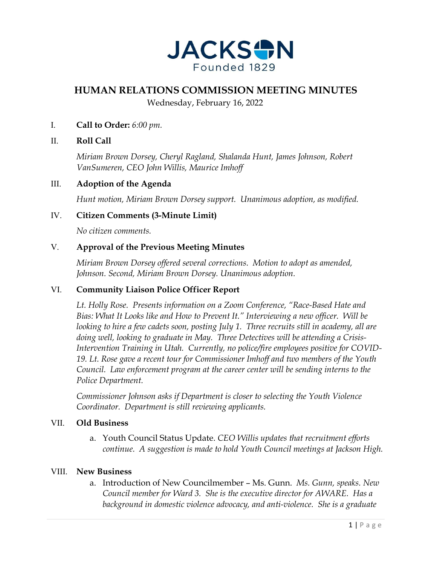

# **HUMAN RELATIONS COMMISSION MEETING MINUTES**

Wednesday, February 16, 2022

I. **Call to Order:** *6:00 pm.*

## II. **Roll Call**

*Miriam Brown Dorsey, Cheryl Ragland, Shalanda Hunt, James Johnson, Robert VanSumeren, CEO John Willis, Maurice Imhoff*

#### III. **Adoption of the Agenda**

*Hunt motion, Miriam Brown Dorsey support. Unanimous adoption, as modified.* 

## IV. **Citizen Comments (3-Minute Limit)**

*No citizen comments.*

## V. **Approval of the Previous Meeting Minutes**

*Miriam Brown Dorsey offered several corrections. Motion to adopt as amended, Johnson. Second, Miriam Brown Dorsey. Unanimous adoption.* 

#### VI. **Community Liaison Police Officer Report**

*Lt. Holly Rose. Presents information on a Zoom Conference, "Race-Based Hate and Bias: What It Looks like and How to Prevent It." Interviewing a new officer. Will be looking to hire a few cadets soon, posting July 1. Three recruits still in academy, all are doing well, looking to graduate in May. Three Detectives will be attending a Crisis-Intervention Training in Utah. Currently, no police/fire employees positive for COVID-19. Lt. Rose gave a recent tour for Commissioner Imhoff and two members of the Youth Council. Law enforcement program at the career center will be sending interns to the Police Department.* 

*Commissioner Johnson asks if Department is closer to selecting the Youth Violence Coordinator. Department is still reviewing applicants.* 

#### VII. **Old Business**

a. Youth Council Status Update. *CEO Willis updates that recruitment efforts continue. A suggestion is made to hold Youth Council meetings at Jackson High.* 

#### VIII. **New Business**

a. Introduction of New Councilmember – Ms. Gunn. *Ms. Gunn, speaks. New Council member for Ward 3. She is the executive director for AWARE. Has a background in domestic violence advocacy, and anti-violence. She is a graduate*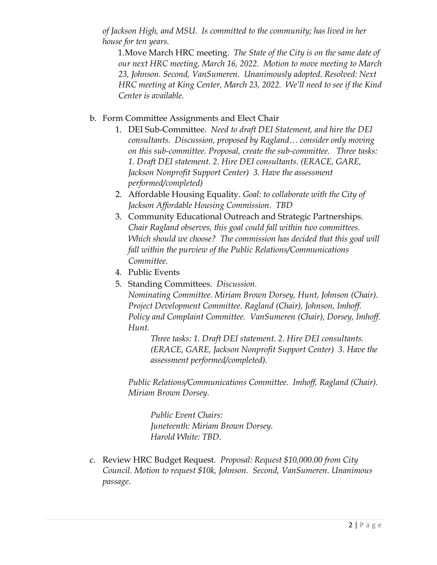*of Jackson High, and MSU. Is committed to the community; has lived in her house for ten years.* 

1.Move March HRC meeting. *The State of the City is on the same date of our next HRC meeting, March 16, 2022. Motion to move meeting to March 23, Johnson. Second, VanSumeren. Unanimously adopted. Resolved: Next HRC meeting at King Center, March 23, 2022. We'll need to see if the Kind Center is available.* 

## b. Form Committee Assignments and Elect Chair

- 1. DEI Sub-Committee. *Need to draft DEI Statement, and hire the DEI consultants. Discussion, proposed by Ragland… consider only moving on this sub-committee. Proposal, create the sub-committee. Three tasks: 1. Draft DEI statement. 2. Hire DEI consultants. (ERACE, GARE, Jackson Nonprofit Support Center) 3. Have the assessment performed/completed)*
- 2. Affordable Housing Equality. *Goal: to collaborate with the City of Jackson Affordable Housing Commission. TBD*
- 3. Community Educational Outreach and Strategic Partnerships. *Chair Ragland observes, this goal could fall within two committees. Which should we choose? The commission has decided that this goal will fall within the purview of the Public Relations/Communications Committee.*
- 4. Public Events
- 5. Standing Committees. *Discussion.*

*Nominating Committee. Miriam Brown Dorsey, Hunt, Johnson (Chair). Project Development Committee. Ragland (Chair), Johnson, Imhoff. Policy and Complaint Committee. VanSumeren (Chair), Dorsey, Imhoff. Hunt.* 

*Three tasks: 1. Draft DEI statement. 2. Hire DEI consultants. (ERACE, GARE, Jackson Nonprofit Support Center) 3. Have the assessment performed/completed).*

*Public Relations/Communications Committee. Imhoff, Ragland (Chair). Miriam Brown Dorsey.* 

*Public Event Chairs: Juneteenth: Miriam Brown Dorsey. Harold White: TBD.* 

c. Review HRC Budget Request. *Proposal: Request \$10,000.00 from City Council. Motion to request \$10k, Johnson. Second, VanSumeren. Unanimous passage.*